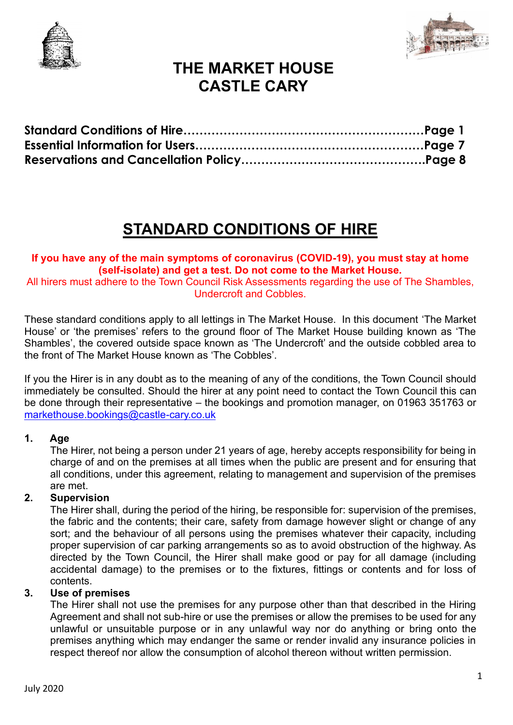



# **STANDARD CONDITIONS OF HIRE**

#### **If you have any of the main symptoms of coronavirus (COVID-19), you must stay at home (self-isolate) and get a test. Do not come to the Market House.**

All hirers must adhere to the Town Council Risk Assessments regarding the use of The Shambles, Undercroft and Cobbles.

These standard conditions apply to all lettings in The Market House. In this document 'The Market House' or 'the premises' refers to the ground floor of The Market House building known as 'The Shambles', the covered outside space known as 'The Undercroft' and the outside cobbled area to the front of The Market House known as 'The Cobbles'.

If you the Hirer is in any doubt as to the meaning of any of the conditions, the Town Council should immediately be consulted. Should the hirer at any point need to contact the Town Council this can be done through their representative – the bookings and promotion manager, on 01963 351763 or [markethouse.bookings@castle-cary.co.uk](mailto:markethouse.bookings@castle-cary.co.uk)

#### **1. Age**

The Hirer, not being a person under 21 years of age, hereby accepts responsibility for being in charge of and on the premises at all times when the public are present and for ensuring that all conditions, under this agreement, relating to management and supervision of the premises are met.

#### **2. Supervision**

The Hirer shall, during the period of the hiring, be responsible for: supervision of the premises, the fabric and the contents; their care, safety from damage however slight or change of any sort; and the behaviour of all persons using the premises whatever their capacity, including proper supervision of car parking arrangements so as to avoid obstruction of the highway. As directed by the Town Council, the Hirer shall make good or pay for all damage (including accidental damage) to the premises or to the fixtures, fittings or contents and for loss of contents.

#### **3. Use of premises**

The Hirer shall not use the premises for any purpose other than that described in the Hiring Agreement and shall not sub-hire or use the premises or allow the premises to be used for any unlawful or unsuitable purpose or in any unlawful way nor do anything or bring onto the premises anything which may endanger the same or render invalid any insurance policies in respect thereof nor allow the consumption of alcohol thereon without written permission.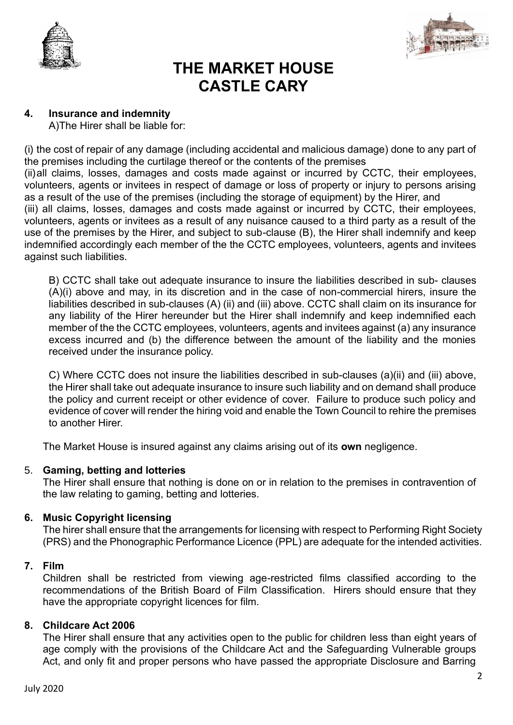



#### **4. Insurance and indemnity**

A)The Hirer shall be liable for:

(i) the cost of repair of any damage (including accidental and malicious damage) done to any part of the premises including the curtilage thereof or the contents of the premises (ii)all claims, losses, damages and costs made against or incurred by CCTC, their employees, volunteers, agents or invitees in respect of damage or loss of property or injury to persons arising as a result of the use of the premises (including the storage of equipment) by the Hirer, and (iii) all claims, losses, damages and costs made against or incurred by CCTC, their employees, volunteers, agents or invitees as a result of any nuisance caused to a third party as a result of the use of the premises by the Hirer, and subject to sub-clause (B), the Hirer shall indemnify and keep indemnified accordingly each member of the the CCTC employees, volunteers, agents and invitees against such liabilities.

B) CCTC shall take out adequate insurance to insure the liabilities described in sub- clauses (A)(i) above and may, in its discretion and in the case of non-commercial hirers, insure the liabilities described in sub-clauses (A) (ii) and (iii) above. CCTC shall claim on its insurance for any liability of the Hirer hereunder but the Hirer shall indemnify and keep indemnified each member of the the CCTC employees, volunteers, agents and invitees against (a) any insurance excess incurred and (b) the difference between the amount of the liability and the monies received under the insurance policy.

C) Where CCTC does not insure the liabilities described in sub-clauses (a)(ii) and (iii) above, the Hirer shall take out adequate insurance to insure such liability and on demand shall produce the policy and current receipt or other evidence of cover. Failure to produce such policy and evidence of cover will render the hiring void and enable the Town Council to rehire the premises to another Hirer.

The Market House is insured against any claims arising out of its **own** negligence.

#### 5. **Gaming, betting and lotteries**

The Hirer shall ensure that nothing is done on or in relation to the premises in contravention of the law relating to gaming, betting and lotteries.

#### **6. Music Copyright licensing**

The hirer shall ensure that the arrangements for licensing with respect to Performing Right Society (PRS) and the Phonographic Performance Licence (PPL) are adequate for the intended activities.

#### **7. Film**

Children shall be restricted from viewing age-restricted films classified according to the recommendations of the British Board of Film Classification. Hirers should ensure that they have the appropriate copyright licences for film.

#### **8. Childcare Act 2006**

The Hirer shall ensure that any activities open to the public for children less than eight years of age comply with the provisions of the Childcare Act and the Safeguarding Vulnerable groups Act, and only fit and proper persons who have passed the appropriate Disclosure and Barring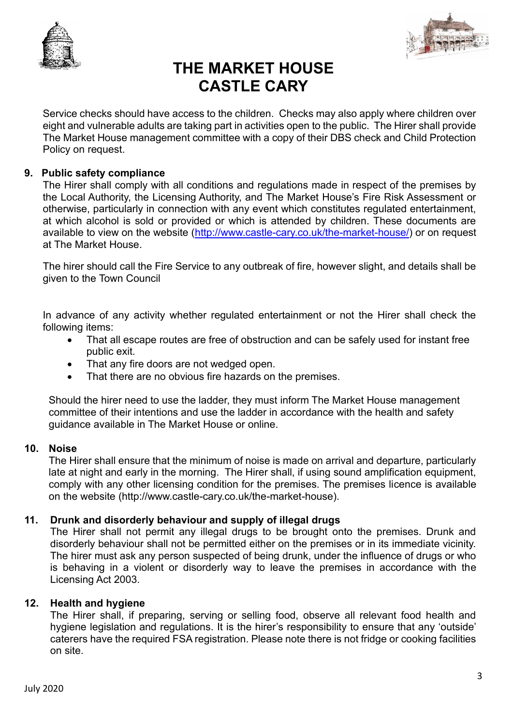



Service checks should have access to the children. Checks may also apply where children over eight and vulnerable adults are taking part in activities open to the public. The Hirer shall provide The Market House management committee with a copy of their DBS check and Child Protection Policy on request.

#### **9. Public safety compliance**

The Hirer shall comply with all conditions and regulations made in respect of the premises by the Local Authority, the Licensing Authority, and The Market House's Fire Risk Assessment or otherwise, particularly in connection with any event which constitutes regulated entertainment, at which alcohol is sold or provided or which is attended by children. These documents are available to view on the website [\(http://www.castle-cary.co.uk/the-market-house/\)](http://www.castle-cary.co.uk/the-market-house/) or on request at The Market House.

The hirer should call the Fire Service to any outbreak of fire, however slight, and details shall be given to the Town Council

In advance of any activity whether regulated entertainment or not the Hirer shall check the following items:

- That all escape routes are free of obstruction and can be safely used for instant free public exit.
- That any fire doors are not wedged open.
- That there are no obvious fire hazards on the premises.

Should the hirer need to use the ladder, they must inform The Market House management committee of their intentions and use the ladder in accordance with the health and safety guidance available in The Market House or online.

#### **10. Noise**

The Hirer shall ensure that the minimum of noise is made on arrival and departure, particularly late at night and early in the morning. The Hirer shall, if using sound amplification equipment, comply with any other licensing condition for the premises. The premises licence is available on the website (http://www.castle-cary.co.uk/the-market-house).

#### **11. Drunk and disorderly behaviour and supply of illegal drugs**

The Hirer shall not permit any illegal drugs to be brought onto the premises. Drunk and disorderly behaviour shall not be permitted either on the premises or in its immediate vicinity. The hirer must ask any person suspected of being drunk, under the influence of drugs or who is behaving in a violent or disorderly way to leave the premises in accordance with the Licensing Act 2003.

#### **12. Health and hygiene**

The Hirer shall, if preparing, serving or selling food, observe all relevant food health and hygiene legislation and regulations. It is the hirer's responsibility to ensure that any 'outside' caterers have the required FSA registration. Please note there is not fridge or cooking facilities on site.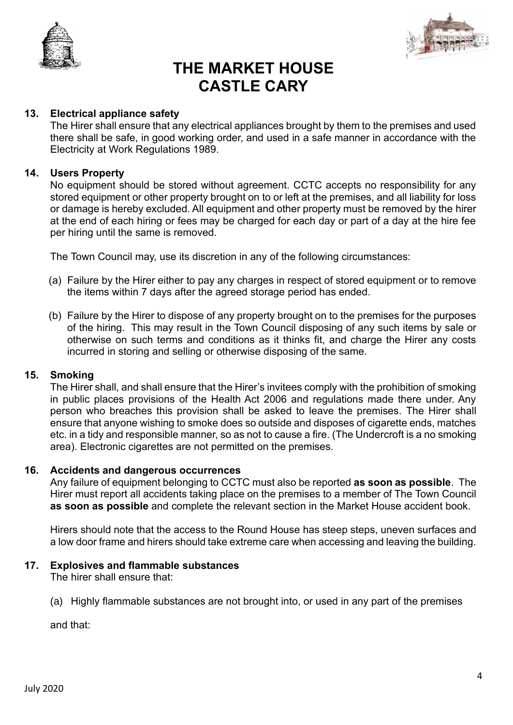



#### **13. Electrical appliance safety**

The Hirer shall ensure that any electrical appliances brought by them to the premises and used there shall be safe, in good working order, and used in a safe manner in accordance with the Electricity at Work Regulations 1989.

#### **14. Users Property**

No equipment should be stored without agreement. CCTC accepts no responsibility for any stored equipment or other property brought on to or left at the premises, and all liability for loss or damage is hereby excluded. All equipment and other property must be removed by the hirer at the end of each hiring or fees may be charged for each day or part of a day at the hire fee per hiring until the same is removed.

The Town Council may, use its discretion in any of the following circumstances:

- (a) Failure by the Hirer either to pay any charges in respect of stored equipment or to remove the items within 7 days after the agreed storage period has ended.
- (b) Failure by the Hirer to dispose of any property brought on to the premises for the purposes of the hiring. This may result in the Town Council disposing of any such items by sale or otherwise on such terms and conditions as it thinks fit, and charge the Hirer any costs incurred in storing and selling or otherwise disposing of the same.

#### **15. Smoking**

The Hirer shall, and shall ensure that the Hirer's invitees comply with the prohibition of smoking in public places provisions of the Health Act 2006 and regulations made there under. Any person who breaches this provision shall be asked to leave the premises. The Hirer shall ensure that anyone wishing to smoke does so outside and disposes of cigarette ends, matches etc. in a tidy and responsible manner, so as not to cause a fire. (The Undercroft is a no smoking area). Electronic cigarettes are not permitted on the premises.

#### **16. Accidents and dangerous occurrences**

Any failure of equipment belonging to CCTC must also be reported **as soon as possible**. The Hirer must report all accidents taking place on the premises to a member of The Town Council **as soon as possible** and complete the relevant section in the Market House accident book.

Hirers should note that the access to the Round House has steep steps, uneven surfaces and a low door frame and hirers should take extreme care when accessing and leaving the building.

#### **17. Explosives and flammable substances**

The hirer shall ensure that:

(a) Highly flammable substances are not brought into, or used in any part of the premises

and that: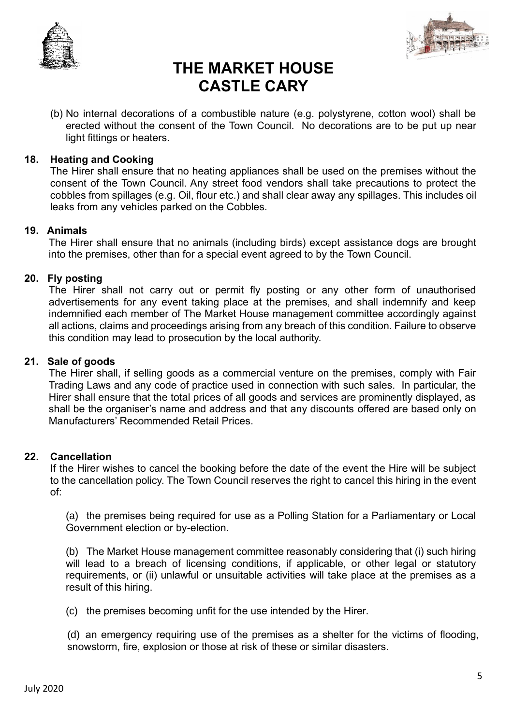



(b) No internal decorations of a combustible nature (e.g. polystyrene, cotton wool) shall be erected without the consent of the Town Council. No decorations are to be put up near light fittings or heaters.

#### **18. Heating and Cooking**

The Hirer shall ensure that no heating appliances shall be used on the premises without the consent of the Town Council. Any street food vendors shall take precautions to protect the cobbles from spillages (e.g. Oil, flour etc.) and shall clear away any spillages. This includes oil leaks from any vehicles parked on the Cobbles.

#### **19. Animals**

The Hirer shall ensure that no animals (including birds) except assistance dogs are brought into the premises, other than for a special event agreed to by the Town Council.

#### **20. Fly posting**

The Hirer shall not carry out or permit fly posting or any other form of unauthorised advertisements for any event taking place at the premises, and shall indemnify and keep indemnified each member of The Market House management committee accordingly against all actions, claims and proceedings arising from any breach of this condition. Failure to observe this condition may lead to prosecution by the local authority.

#### **21. Sale of goods**

The Hirer shall, if selling goods as a commercial venture on the premises, comply with Fair Trading Laws and any code of practice used in connection with such sales. In particular, the Hirer shall ensure that the total prices of all goods and services are prominently displayed, as shall be the organiser's name and address and that any discounts offered are based only on Manufacturers' Recommended Retail Prices.

#### **22. Cancellation**

If the Hirer wishes to cancel the booking before the date of the event the Hire will be subject to the cancellation policy. The Town Council reserves the right to cancel this hiring in the event of:

(a) the premises being required for use as a Polling Station for a Parliamentary or Local Government election or by-election.

(b) The Market House management committee reasonably considering that (i) such hiring will lead to a breach of licensing conditions, if applicable, or other legal or statutory requirements, or (ii) unlawful or unsuitable activities will take place at the premises as a result of this hiring.

(c) the premises becoming unfit for the use intended by the Hirer.

(d) an emergency requiring use of the premises as a shelter for the victims of flooding, snowstorm, fire, explosion or those at risk of these or similar disasters.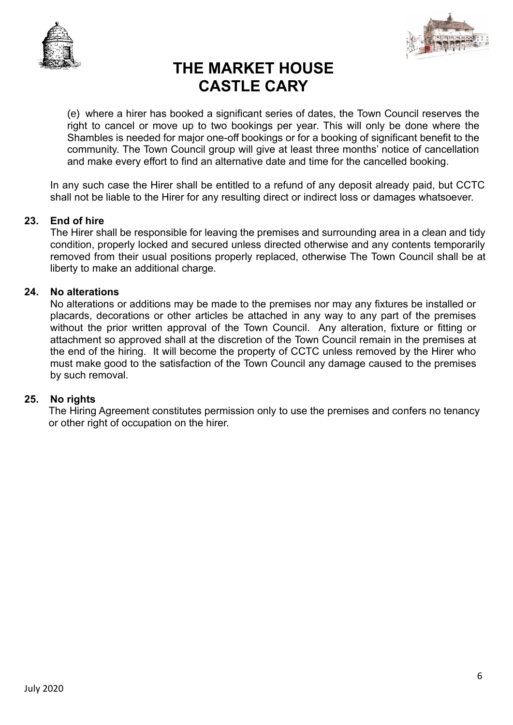



(e) where a hirer has booked a significant series of dates, the Town Council reserves the right to cancel or move up to two bookings per year. This will only be done where the Shambles is needed for major one-off bookings or for a booking of significant benefit to the community. The Town Council group will give at least three months' notice of cancellation and make every effort to find an alternative date and time for the cancelled booking.

In any such case the Hirer shall be entitled to a refund of any deposit already paid, but CCTC shall not be liable to the Hirer for any resulting direct or indirect loss or damages whatsoever.

#### **23. End of hire**

The Hirer shall be responsible for leaving the premises and surrounding area in a clean and tidy condition, properly locked and secured unless directed otherwise and any contents temporarily removed from their usual positions properly replaced, otherwise The Town Council shall be at liberty to make an additional charge.

#### **24. No alterations**

No alterations or additions may be made to the premises nor may any fixtures be installed or placards, decorations or other articles be attached in any way to any part of the premises without the prior written approval of the Town Council. Any alteration, fixture or fitting or attachment so approved shall at the discretion of the Town Council remain in the premises at the end of the hiring. It will become the property of CCTC unless removed by the Hirer who must make good to the satisfaction of the Town Council any damage caused to the premises by such removal.

#### **25. No rights**

The Hiring Agreement constitutes permission only to use the premises and confers no tenancy or other right of occupation on the hirer.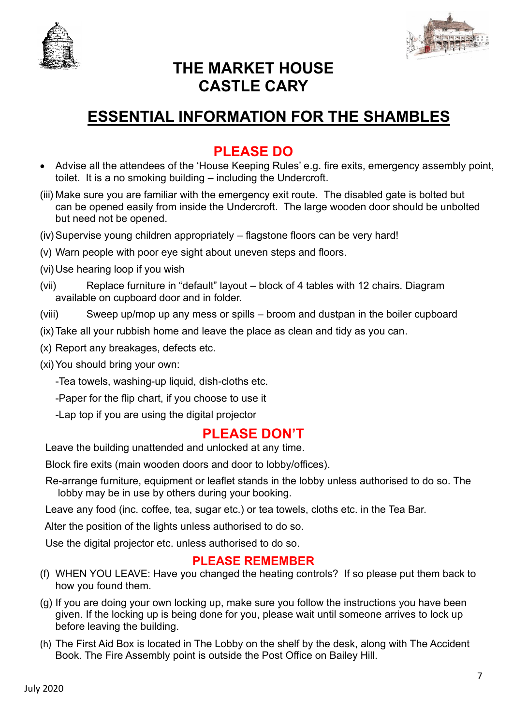



# **ESSENTIAL INFORMATION FOR THE SHAMBLES**

### **PLEASE DO**

- Advise all the attendees of the 'House Keeping Rules' e.g. fire exits, emergency assembly point, toilet. It is a no smoking building – including the Undercroft.
- (iii) Make sure you are familiar with the emergency exit route. The disabled gate is bolted but can be opened easily from inside the Undercroft. The large wooden door should be unbolted but need not be opened.
- (iv)Supervise young children appropriately flagstone floors can be very hard!
- (v) Warn people with poor eye sight about uneven steps and floors.
- (vi)Use hearing loop if you wish
- (vii) Replace furniture in "default" layout block of 4 tables with 12 chairs. Diagram available on cupboard door and in folder.
- (viii) Sweep up/mop up any mess or spills broom and dustpan in the boiler cupboard
- (ix)Take all your rubbish home and leave the place as clean and tidy as you can.
- (x) Report any breakages, defects etc.
- (xi)You should bring your own:

-Tea towels, washing-up liquid, dish*-*cloths etc.

-Paper for the flip chart, if you choose to use it

-Lap top if you are using the digital projector

### **PLEASE DON'T**

Leave the building unattended and unlocked at any time.

Block fire exits (main wooden doors and door to lobby/offices).

Re-arrange furniture, equipment or leaflet stands in the lobby unless authorised to do so. The lobby may be in use by others during your booking.

Leave any food (inc. coffee, tea, sugar etc.) or tea towels, cloths etc. in the Tea Bar.

Alter the position of the lights unless authorised to do so.

Use the digital projector etc. unless authorised to do so.

### **PLEASE REMEMBER**

- (f) WHEN YOU LEAVE: Have you changed the heating controls? If so please put them back to how you found them.
- (g) If you are doing your own locking up, make sure you follow the instructions you have been given. If the locking up is being done for you, please wait until someone arrives to lock up before leaving the building.
- (h) The First Aid Box is located in The Lobby on the shelf by the desk, along with The Accident Book. The Fire Assembly point is outside the Post Office on Bailey Hill.